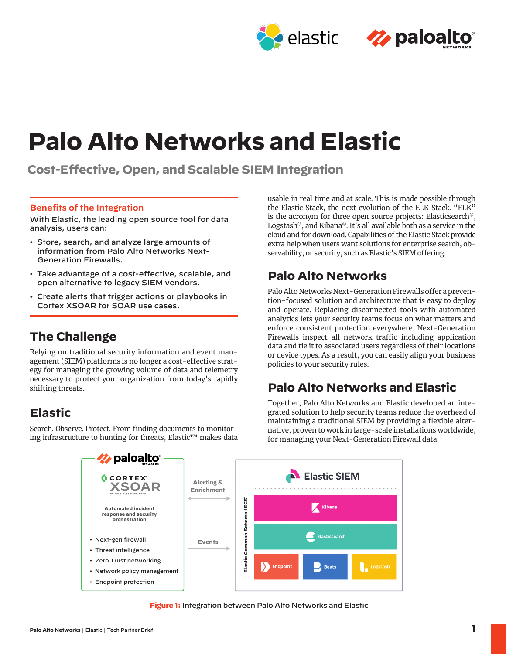

# **Palo Alto Networks and Elastic**

**Cost-Effective, Open, and Scalable SIEM Integration**

### **Benefits of the Integration**

With Elastic, the leading open source tool for data analysis, users can:

- Store, search, and analyze large amounts of information from Palo Alto Networks Next-Generation Firewalls.
- Take advantage of a cost-effective, scalable, and open alternative to legacy SIEM vendors.
- Create alerts that trigger actions or playbooks in Cortex XSOAR for SOAR use cases.

# **The Challenge**

Relying on traditional security information and event management (SIEM) platforms is no longer a cost-effective strategy for managing the growing volume of data and telemetry necessary to protect your organization from today's rapidly shifting threats.

# **Elastic**

Search. Observe. Protect. From finding documents to monitoring infrastructure to hunting for threats, Elastic™ makes data

usable in real time and at scale. This is made possible through the Elastic Stack, the next evolution of the ELK Stack. "ELK" is the acronym for three open source projects: Elasticsearch®, Logstash®, and Kibana®. It's all available both as a service in the cloud and for download. Capabilities of the Elastic Stack provide extra help when users want solutions for enterprise search, observability, or security, such as Elastic's SIEM offering.

# **Palo Alto Networks**

Palo Alto Networks Next-Generation Firewalls offer a prevention-focused solution and architecture that is easy to deploy and operate. Replacing disconnected tools with automated analytics lets your security teams focus on what matters and enforce consistent protection everywhere. Next-Generation Firewalls inspect all network traffic including application data and tie it to associated users regardless of their locations or device types. As a result, you can easily align your business policies to your security rules.

# **Palo Alto Networks and Elastic**

Together, Palo Alto Networks and Elastic developed an integrated solution to help security teams reduce the overhead of maintaining a traditional SIEM by providing a flexible alternative, proven to work in large-scale installations worldwide, for managing your Next-Generation Firewall data.